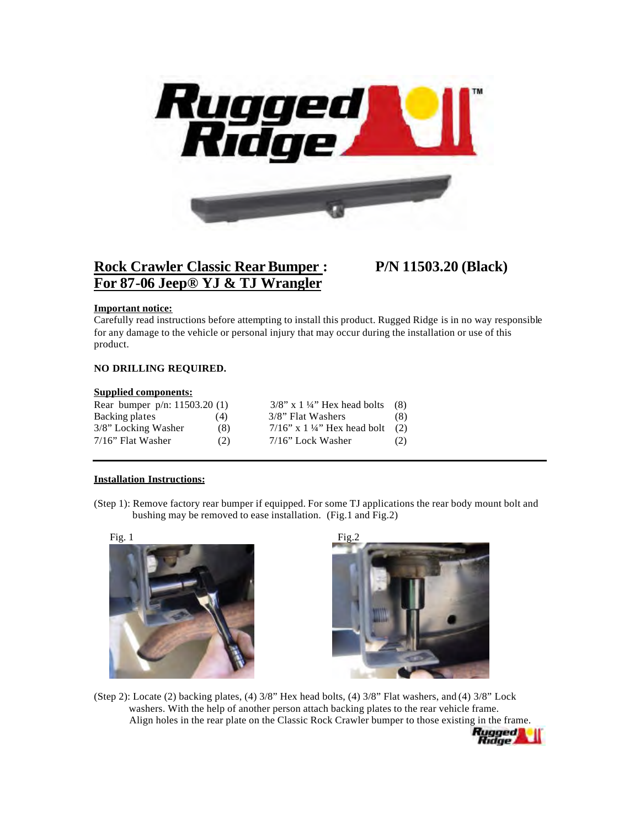

# **Rock Crawler Classic Rear Bumper : P/N 11503.20 (Black) For 87-06 Jeep® YJ & TJ Wrangler**

### **Important notice:**

Carefully read instructions before attempting to install this product. Rugged Ridge is in no way responsible for any damage to the vehicle or personal injury that may occur during the installation or use of this product.

## **NO DRILLING REQUIRED.**

#### **Supplied components:**

| Rear bumper $p/n$ : 11503.20 (1) |     | $3/8$ " x 1 ¼" Hex head bolts     | (8) |
|----------------------------------|-----|-----------------------------------|-----|
| Backing plates                   | (4) | 3/8" Flat Washers                 | (8) |
| 3/8" Locking Washer              | (8) | $7/16$ " x 1 ¼" Hex head bolt (2) |     |
| $7/16$ " Flat Washer             | (2) | $7/16$ " Lock Washer              | (2) |

#### **Installation Instructions:**

(Step 1): Remove factory rear bumper if equipped. For some TJ applications the rear body mount bolt and bushing may be removed to ease installation. (Fig.1 and Fig.2)





(Step 2): Locate (2) backing plates, (4) 3/8" Hex head bolts, (4) 3/8" Flat washers, and (4) 3/8" Lock washers. With the help of another person attach backing plates to the rear vehicle frame. Align holes in the rear plate on the Classic Rock Crawler bumper to those existing in the frame.<br>**Rugged**